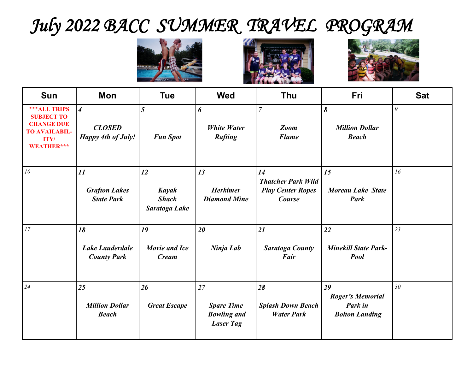## *July 2022 BACC SUMMER TRAVEL PROGRAM*







| <b>Sun</b>                                                                                                         | Mon                                                          | <b>Tue</b>                                          | <b>Wed</b>                                                        | <b>Thu</b>                                                            | Fri                                                               | <b>Sat</b> |
|--------------------------------------------------------------------------------------------------------------------|--------------------------------------------------------------|-----------------------------------------------------|-------------------------------------------------------------------|-----------------------------------------------------------------------|-------------------------------------------------------------------|------------|
| <b>***ALL TRIPS</b><br><b>SUBJECT TO</b><br><b>CHANGE DUE</b><br><b>TO AVAILABIL-</b><br><b>ITY/</b><br>WEATHER*** | $\overline{4}$<br><b>CLOSED</b><br><b>Happy 4th of July!</b> | 5<br><b>Fun Spot</b>                                | 6<br><b>White Water</b><br><b>Rafting</b>                         | $\overline{7}$<br><b>Zoom</b><br><b>Flume</b>                         | 8<br><b>Million Dollar</b><br><b>Beach</b>                        | 9          |
| 10                                                                                                                 | 11<br><b>Grafton Lakes</b><br><b>State Park</b>              | 12<br><b>Kayak</b><br><b>Shack</b><br>Saratoga Lake | 13<br><b>Herkimer</b><br><b>Diamond Mine</b>                      | 14<br><b>Thatcher Park Wild</b><br><b>Play Center Ropes</b><br>Course | 15<br><b>Moreau Lake State</b><br><b>Park</b>                     | 16         |
| 17                                                                                                                 | 18<br><b>Lake Lauderdale</b><br><b>County Park</b>           | 19<br><b>Movie and Ice</b><br><b>Cream</b>          | 20<br>Ninja Lab                                                   | 21<br><b>Saratoga County</b><br>Fair                                  | 22<br><b>Minekill State Park-</b><br><b>Pool</b>                  | 23         |
| 24                                                                                                                 | 25<br><b>Million Dollar</b><br><b>Beach</b>                  | 26<br><b>Great Escape</b>                           | 27<br><b>Spare Time</b><br><b>Bowling and</b><br><b>Laser Tag</b> | 28<br><b>Splash Down Beach</b><br><b>Water Park</b>                   | 29<br><b>Roger's Memorial</b><br>Park in<br><b>Bolton Landing</b> | 30         |